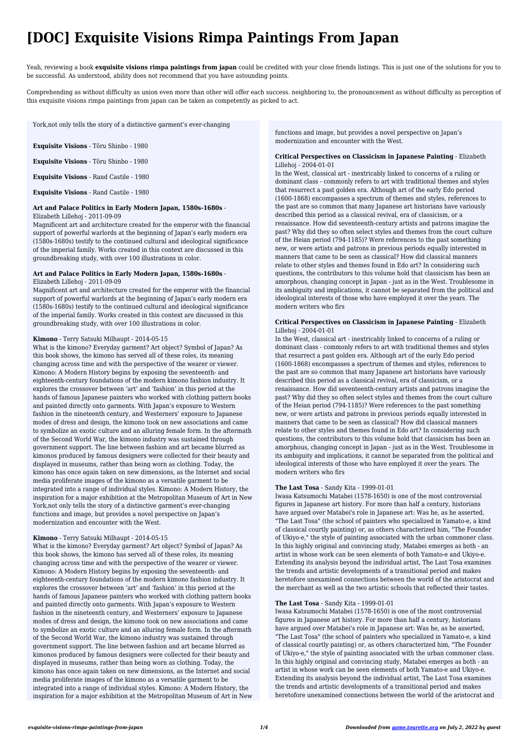# **[DOC] Exquisite Visions Rimpa Paintings From Japan**

Yeah, reviewing a book **exquisite visions rimpa paintings from japan** could be credited with your close friends listings. This is just one of the solutions for you to be successful. As understood, ability does not recommend that you have astounding points.

Comprehending as without difficulty as union even more than other will offer each success. neighboring to, the pronouncement as without difficulty as perception of this exquisite visions rimpa paintings from japan can be taken as competently as picked to act.

**Exquisite Visions** - Tōru Shinbo - 1980

**Exquisite Visions** - Tōru Shinbo - 1980

**Exquisite Visions** - Rand Castile - 1980

**Exquisite Visions** - Rand Castile - 1980

## **Art and Palace Politics in Early Modern Japan, 1580s-1680s** - Elizabeth Lillehoj - 2011-09-09

Magnificent art and architecture created for the emperor with the financial support of powerful warlords at the beginning of Japan's early modern era (1580s-1680s) testify to the continued cultural and ideological significance of the imperial family. Works created in this context are discussed in this groundbreaking study, with over 100 illustrations in color.

# **Art and Palace Politics in Early Modern Japan, 1580s-1680s** -

## Elizabeth Lillehoj - 2011-09-09

Magnificent art and architecture created for the emperor with the financial support of powerful warlords at the beginning of Japan's early modern era (1580s-1680s) testify to the continued cultural and ideological significance of the imperial family. Works created in this context are discussed in this groundbreaking study, with over 100 illustrations in color.

## **Kimono** - Terry Satsuki Milhaupt - 2014-05-15

What is the kimono? Everyday garment? Art object? Symbol of Japan? As this book shows, the kimono has served all of these roles, its meaning changing across time and with the perspective of the wearer or viewer. Kimono: A Modern History begins by exposing the seventeenth- and eighteenth-century foundations of the modern kimono fashion industry. It explores the crossover between 'art' and 'fashion' in this period at the hands of famous Japanese painters who worked with clothing pattern books and painted directly onto garments. With Japan's exposure to Western fashion in the nineteenth century, and Westerners' exposure to Japanese modes of dress and design, the kimono took on new associations and came to symbolize an exotic culture and an alluring female form. In the aftermath of the Second World War, the kimono industry was sustained through government support. The line between fashion and art became blurred as kimonos produced by famous designers were collected for their beauty and displayed in museums, rather than being worn as clothing. Today, the kimono has once again taken on new dimensions, as the Internet and social media proliferate images of the kimono as a versatile garment to be integrated into a range of individual styles. Kimono: A Modern History, the inspiration for a major exhibition at the Metropolitan Museum of Art in New York,not only tells the story of a distinctive garment's ever-changing functions and image, but provides a novel perspective on Japan's modernization and encounter with the West.

# **Kimono** - Terry Satsuki Milhaupt - 2014-05-15

What is the kimono? Everyday garment? Art object? Symbol of Japan? As this book shows, the kimono has served all of these roles, its meaning changing across time and with the perspective of the wearer or viewer. Kimono: A Modern History begins by exposing the seventeenth- and eighteenth-century foundations of the modern kimono fashion industry. It explores the crossover between 'art' and 'fashion' in this period at the hands of famous Japanese painters who worked with clothing pattern books and painted directly onto garments. With Japan's exposure to Western fashion in the nineteenth century, and Westerners' exposure to Japanese modes of dress and design, the kimono took on new associations and came to symbolize an exotic culture and an alluring female form. In the aftermath of the Second World War, the kimono industry was sustained through government support. The line between fashion and art became blurred as kimonos produced by famous designers were collected for their beauty and displayed in museums, rather than being worn as clothing. Today, the kimono has once again taken on new dimensions, as the Internet and social media proliferate images of the kimono as a versatile garment to be integrated into a range of individual styles. Kimono: A Modern History, the inspiration for a major exhibition at the Metropolitan Museum of Art in New

York,not only tells the story of a distinctive garment's ever-changing

functions and image, but provides a novel perspective on Japan's modernization and encounter with the West.

## **Critical Perspectives on Classicism in Japanese Painting** - Elizabeth Lillehoj - 2004-01-01

In the West, classical art - inextricably linked to concerns of a ruling or dominant class - commonly refers to art with traditional themes and styles that resurrect a past golden era. Although art of the early Edo period (1600-1868) encompasses a spectrum of themes and styles, references to the past are so common that many Japanese art historians have variously described this period as a classical revival, era of classicism, or a renaissance. How did seventeenth-century artists and patrons imagine the past? Why did they so often select styles and themes from the court culture of the Heian period (794-1185)? Were references to the past something new, or were artists and patrons in previous periods equally interested in manners that came to be seen as classical? How did classical manners relate to other styles and themes found in Edo art? In considering such questions, the contributors to this volume hold that classicism has been an amorphous, changing concept in Japan - just as in the West. Troublesome in its ambiguity and implications, it cannot be separated from the political and ideological interests of those who have employed it over the years. The modern writers who firs

## **Critical Perspectives on Classicism in Japanese Painting** - Elizabeth Lillehoj - 2004-01-01

In the West, classical art - inextricably linked to concerns of a ruling or dominant class - commonly refers to art with traditional themes and styles that resurrect a past golden era. Although art of the early Edo period (1600-1868) encompasses a spectrum of themes and styles, references to the past are so common that many Japanese art historians have variously described this period as a classical revival, era of classicism, or a renaissance. How did seventeenth-century artists and patrons imagine the past? Why did they so often select styles and themes from the court culture of the Heian period (794-1185)? Were references to the past something new, or were artists and patrons in previous periods equally interested in manners that came to be seen as classical? How did classical manners relate to other styles and themes found in Edo art? In considering such questions, the contributors to this volume hold that classicism has been an amorphous, changing concept in Japan - just as in the West. Troublesome in its ambiguity and implications, it cannot be separated from the political and ideological interests of those who have employed it over the years. The modern writers who firs

# **The Last Tosa** - Sandy Kita - 1999-01-01

Iwasa Katsumochi Matabei (1578-1650) is one of the most controversial figures in Japanese art history. For more than half a century, historians have argued over Matabei's role in Japanese art: Was he, as he asserted, "The Last Tosa" (the school of painters who specialized in Yamato-e, a kind of classical courtly painting) or, as others characterized him, "The Founder of Ukiyo-e," the style of painting associated with the urban commoner class. In this highly original and convincing study, Matabei emerges as both - an artist in whose work can be seen elements of both Yamato-e and Ukiyo-e. Extending its analysis beyond the individual artist, The Last Tosa examines the trends and artistic developments of a transitional period and makes heretofore unexamined connections between the world of the aristocrat and the merchant as well as the two artistic schools that reflected their tastes.

#### **The Last Tosa** - Sandy Kita - 1999-01-01

Iwasa Katsumochi Matabei (1578-1650) is one of the most controversial figures in Japanese art history. For more than half a century, historians have argued over Matabei's role in Japanese art: Was he, as he asserted, "The Last Tosa" (the school of painters who specialized in Yamato-e, a kind of classical courtly painting) or, as others characterized him, "The Founder of Ukiyo-e," the style of painting associated with the urban commoner class. In this highly original and convincing study, Matabei emerges as both - an artist in whose work can be seen elements of both Yamato-e and Ukiyo-e. Extending its analysis beyond the individual artist, The Last Tosa examines the trends and artistic developments of a transitional period and makes heretofore unexamined connections between the world of the aristocrat and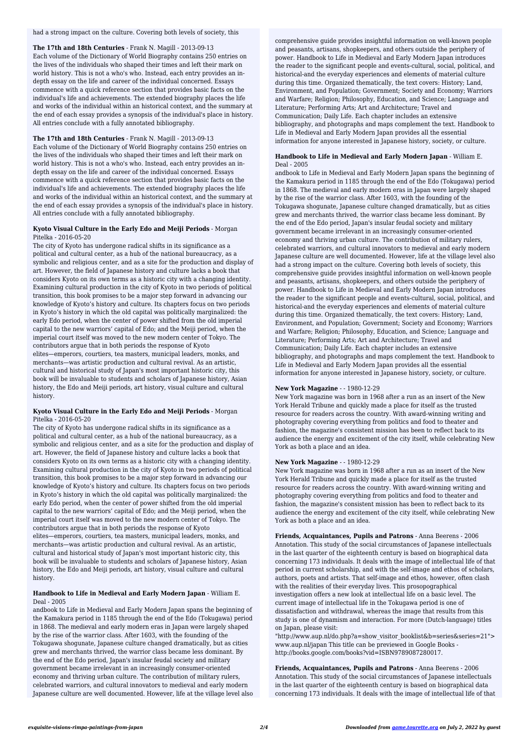**The 17th and 18th Centuries** - Frank N. Magill - 2013-09-13 Each volume of the Dictionary of World Biography contains 250 entries on the lives of the individuals who shaped their times and left their mark on world history. This is not a who's who. Instead, each entry provides an indepth essay on the life and career of the individual concerned. Essays commence with a quick reference section that provides basic facts on the individual's life and achievements. The extended biography places the life and works of the individual within an historical context, and the summary at the end of each essay provides a synopsis of the individual's place in history. All entries conclude with a fully annotated bibliography.

#### **The 17th and 18th Centuries** - Frank N. Magill - 2013-09-13

Each volume of the Dictionary of World Biography contains 250 entries on the lives of the individuals who shaped their times and left their mark on world history. This is not a who's who. Instead, each entry provides an indepth essay on the life and career of the individual concerned. Essays commence with a quick reference section that provides basic facts on the individual's life and achievements. The extended biography places the life and works of the individual within an historical context, and the summary at the end of each essay provides a synopsis of the individual's place in history. All entries conclude with a fully annotated bibliography.

#### **Kyoto Visual Culture in the Early Edo and Meiji Periods** - Morgan Pitelka - 2016-05-20

The city of Kyoto has undergone radical shifts in its significance as a political and cultural center, as a hub of the national bureaucracy, as a symbolic and religious center, and as a site for the production and display of art. However, the field of Japanese history and culture lacks a book that considers Kyoto on its own terms as a historic city with a changing identity. Examining cultural production in the city of Kyoto in two periods of political transition, this book promises to be a major step forward in advancing our knowledge of Kyoto's history and culture. Its chapters focus on two periods in Kyoto's history in which the old capital was politically marginalized: the early Edo period, when the center of power shifted from the old imperial capital to the new warriors' capital of Edo; and the Meiji period, when the imperial court itself was moved to the new modern center of Tokyo. The contributors argue that in both periods the response of Kyoto elites—emperors, courtiers, tea masters, municipal leaders, monks, and merchants—was artistic production and cultural revival. As an artistic, cultural and historical study of Japan's most important historic city, this book will be invaluable to students and scholars of Japanese history, Asian history, the Edo and Meiji periods, art history, visual culture and cultural history.

## **Kyoto Visual Culture in the Early Edo and Meiji Periods** - Morgan Pitelka - 2016-05-20

The city of Kyoto has undergone radical shifts in its significance as a political and cultural center, as a hub of the national bureaucracy, as a symbolic and religious center, and as a site for the production and display of art. However, the field of Japanese history and culture lacks a book that considers Kyoto on its own terms as a historic city with a changing identity. Examining cultural production in the city of Kyoto in two periods of political transition, this book promises to be a major step forward in advancing our knowledge of Kyoto's history and culture. Its chapters focus on two periods in Kyoto's history in which the old capital was politically marginalized: the early Edo period, when the center of power shifted from the old imperial capital to the new warriors' capital of Edo; and the Meiji period, when the imperial court itself was moved to the new modern center of Tokyo. The contributors argue that in both periods the response of Kyoto elites—emperors, courtiers, tea masters, municipal leaders, monks, and merchants—was artistic production and cultural revival. As an artistic, cultural and historical study of Japan's most important historic city, this book will be invaluable to students and scholars of Japanese history, Asian

history, the Edo and Meiji periods, art history, visual culture and cultural history.

## **Handbook to Life in Medieval and Early Modern Japan** - William E. Deal - 2005

andbook to Life in Medieval and Early Modern Japan spans the beginning of the Kamakura period in 1185 through the end of the Edo (Tokugawa) period in 1868. The medieval and early modern eras in Japan were largely shaped by the rise of the warrior class. After 1603, with the founding of the Tokugawa shogunate, Japanese culture changed dramatically, but as cities grew and merchants thrived, the warrior class became less dominant. By the end of the Edo period, Japan's insular feudal society and military government became irrelevant in an increasingly consumer-oriented economy and thriving urban culture. The contribution of military rulers, celebrated warriors, and cultural innovators to medieval and early modern Japanese culture are well documented. However, life at the village level also

"http://www.aup.nl/do.php?a=show\_visitor\_booklist&b=series&series=21"> www.aup.nl/japan This title can be previewed in Google Books http://books.google.com/books?vid=ISBN9789087280017.

had a strong impact on the culture. Covering both levels of society, this

comprehensive guide provides insightful information on well-known people and peasants, artisans, shopkeepers, and others outside the periphery of power. Handbook to Life in Medieval and Early Modern Japan introduces the reader to the significant people and events-cultural, social, political, and historical-and the everyday experiences and elements of material culture during this time. Organized thematically, the text covers: History; Land, Environment, and Population; Government; Society and Economy; Warriors and Warfare; Religion; Philosophy, Education, and Science; Language and Literature; Performing Arts; Art and Architecture; Travel and Communication; Daily Life. Each chapter includes an extensive bibliography, and photographs and maps complement the text. Handbook to Life in Medieval and Early Modern Japan provides all the essential information for anyone interested in Japanese history, society, or culture.

## **Handbook to Life in Medieval and Early Modern Japan** - William E. Deal - 2005

andbook to Life in Medieval and Early Modern Japan spans the beginning of the Kamakura period in 1185 through the end of the Edo (Tokugawa) period in 1868. The medieval and early modern eras in Japan were largely shaped by the rise of the warrior class. After 1603, with the founding of the Tokugawa shogunate, Japanese culture changed dramatically, but as cities grew and merchants thrived, the warrior class became less dominant. By the end of the Edo period, Japan's insular feudal society and military government became irrelevant in an increasingly consumer-oriented economy and thriving urban culture. The contribution of military rulers, celebrated warriors, and cultural innovators to medieval and early modern Japanese culture are well documented. However, life at the village level also had a strong impact on the culture. Covering both levels of society, this comprehensive guide provides insightful information on well-known people and peasants, artisans, shopkeepers, and others outside the periphery of power. Handbook to Life in Medieval and Early Modern Japan introduces the reader to the significant people and events-cultural, social, political, and historical-and the everyday experiences and elements of material culture during this time. Organized thematically, the text covers: History; Land, Environment, and Population; Government; Society and Economy; Warriors and Warfare; Religion; Philosophy, Education, and Science; Language and Literature; Performing Arts; Art and Architecture; Travel and Communication; Daily Life. Each chapter includes an extensive bibliography, and photographs and maps complement the text. Handbook to Life in Medieval and Early Modern Japan provides all the essential information for anyone interested in Japanese history, society, or culture.

## **New York Magazine** - - 1980-12-29

New York magazine was born in 1968 after a run as an insert of the New York Herald Tribune and quickly made a place for itself as the trusted resource for readers across the country. With award-winning writing and photography covering everything from politics and food to theater and fashion, the magazine's consistent mission has been to reflect back to its audience the energy and excitement of the city itself, while celebrating New York as both a place and an idea.

#### **New York Magazine** - - 1980-12-29

New York magazine was born in 1968 after a run as an insert of the New York Herald Tribune and quickly made a place for itself as the trusted resource for readers across the country. With award-winning writing and photography covering everything from politics and food to theater and fashion, the magazine's consistent mission has been to reflect back to its audience the energy and excitement of the city itself, while celebrating New York as both a place and an idea.

**Friends, Acquaintances, Pupils and Patrons** - Anna Beerens - 2006 Annotation. This study of the social circumstances of Japanese intellectuals in the last quarter of the eighteenth century is based on biographical data concerning 173 individuals. It deals with the image of intellectual life of that

period in current scholarship, and with the self-image and ethos of scholars, authors, poets and artists. That self-image and ethos, however, often clash with the realities of their everyday lives. This prosopographical investigation offers a new look at intellectual life on a basic level. The current image of intellectual life in the Tokugawa period is one of dissatisfaction and withdrawal, whereas the image that results from this study is one of dynamism and interaction. For more (Dutch-language) titles on Japan, please visit:

**Friends, Acquaintances, Pupils and Patrons** - Anna Beerens - 2006 Annotation. This study of the social circumstances of Japanese intellectuals in the last quarter of the eighteenth century is based on biographical data concerning 173 individuals. It deals with the image of intellectual life of that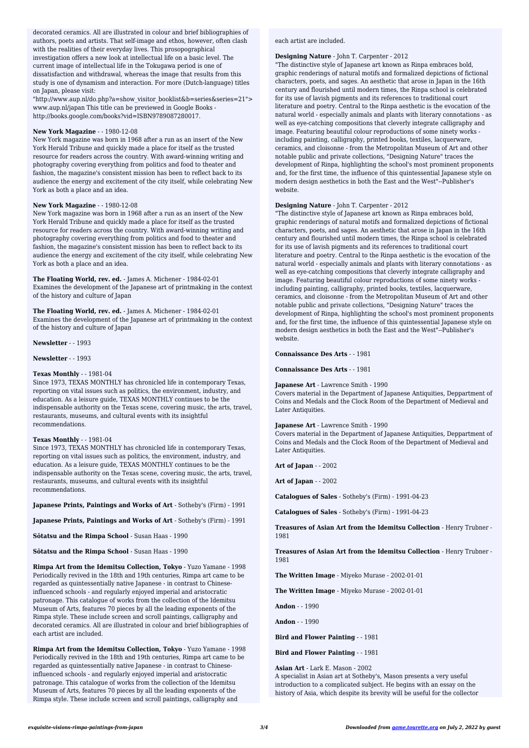"http://www.aup.nl/do.php?a=show\_visitor\_booklist&b=series&series=21"> www.aup.nl/japan This title can be previewed in Google Books http://books.google.com/books?vid=ISBN9789087280017.

## **New York Magazine** - - 1980-12-08

New York magazine was born in 1968 after a run as an insert of the New York Herald Tribune and quickly made a place for itself as the trusted resource for readers across the country. With award-winning writing and photography covering everything from politics and food to theater and fashion, the magazine's consistent mission has been to reflect back to its audience the energy and excitement of the city itself, while celebrating New York as both a place and an idea.

#### **New York Magazine** - - 1980-12-08

New York magazine was born in 1968 after a run as an insert of the New York Herald Tribune and quickly made a place for itself as the trusted resource for readers across the country. With award-winning writing and photography covering everything from politics and food to theater and fashion, the magazine's consistent mission has been to reflect back to its audience the energy and excitement of the city itself, while celebrating New York as both a place and an idea.

**The Floating World, rev. ed.** - James A. Michener - 1984-02-01 Examines the development of the Japanese art of printmaking in the context of the history and culture of Japan

**The Floating World, rev. ed.** - James A. Michener - 1984-02-01 Examines the development of the Japanese art of printmaking in the context of the history and culture of Japan

**Newsletter** - - 1993

**Newsletter** - - 1993

#### **Texas Monthly** - - 1981-04

authors, poets and artists. That self-image and ethos, however, often clash with the realities of their everyday lives. This prosopographical investigation offers a new look at intellectual life on a basic level. The current image of intellectual life in the Tokugawa period is one of dissatisfaction and withdrawal, whereas the image that results from this study is one of dynamism and interaction. For more (Dutch-language) titles on Japan, please visit: decorated ceramics. All are illustrated in colour and brief bibliographies of

Since 1973, TEXAS MONTHLY has chronicled life in contemporary Texas, reporting on vital issues such as politics, the environment, industry, and education. As a leisure guide, TEXAS MONTHLY continues to be the indispensable authority on the Texas scene, covering music, the arts, travel, restaurants, museums, and cultural events with its insightful recommendations.

#### **Texas Monthly** - - 1981-04

Since 1973, TEXAS MONTHLY has chronicled life in contemporary Texas, reporting on vital issues such as politics, the environment, industry, and education. As a leisure guide, TEXAS MONTHLY continues to be the indispensable authority on the Texas scene, covering music, the arts, travel, restaurants, museums, and cultural events with its insightful recommendations.

**Japanese Prints, Paintings and Works of Art** - Sotheby's (Firm) - 1991

**Japanese Prints, Paintings and Works of Art** - Sotheby's (Firm) - 1991

**Sōtatsu and the Rimpa School** - Susan Haas - 1990

**Sōtatsu and the Rimpa School** - Susan Haas - 1990

**Rimpa Art from the Idemitsu Collection, Tokyo** - Yuzo Yamane - 1998 Periodically revived in the 18th and 19th centuries, Rimpa art came to be regarded as quintessentially native Japanese - in contrast to Chineseinfluenced schools - and regularly enjoyed imperial and aristocratic patronage. This catalogue of works from the collection of the Idemitsu Museum of Arts, features 70 pieces by all the leading exponents of the Rimpa style. These include screen and scroll paintings, calligraphy and decorated ceramics. All are illustrated in colour and brief bibliographies of each artist are included.

**Rimpa Art from the Idemitsu Collection, Tokyo** - Yuzo Yamane - 1998 Periodically revived in the 18th and 19th centuries, Rimpa art came to be regarded as quintessentially native Japanese - in contrast to Chineseinfluenced schools - and regularly enjoyed imperial and aristocratic patronage. This catalogue of works from the collection of the Idemitsu Museum of Arts, features 70 pieces by all the leading exponents of the Rimpa style. These include screen and scroll paintings, calligraphy and

each artist are included.

#### **Designing Nature** - John T. Carpenter - 2012

"The distinctive style of Japanese art known as Rinpa embraces bold, graphic renderings of natural motifs and formalized depictions of fictional characters, poets, and sages. An aesthetic that arose in Japan in the 16th century and flourished until modern times, the Rinpa school is celebrated for its use of lavish pigments and its references to traditional court literature and poetry. Central to the Rinpa aesthetic is the evocation of the natural world - especially animals and plants with literary connotations - as well as eye-catching compositions that cleverly integrate calligraphy and image. Featuring beautiful colour reproductions of some ninety works including painting, calligraphy, printed books, textiles, lacquerware, ceramics, and cloisonne - from the Metropolitan Museum of Art and other notable public and private collections, "Designing Nature" traces the development of Rinpa, highlighting the school's most prominent proponents and, for the first time, the influence of this quintessential Japanese style on modern design aesthetics in both the East and the West"--Publisher's website.

#### **Designing Nature** - John T. Carpenter - 2012

"The distinctive style of Japanese art known as Rinpa embraces bold, graphic renderings of natural motifs and formalized depictions of fictional characters, poets, and sages. An aesthetic that arose in Japan in the 16th century and flourished until modern times, the Rinpa school is celebrated for its use of lavish pigments and its references to traditional court literature and poetry. Central to the Rinpa aesthetic is the evocation of the natural world - especially animals and plants with literary connotations - as well as eye-catching compositions that cleverly integrate calligraphy and image. Featuring beautiful colour reproductions of some ninety works including painting, calligraphy, printed books, textiles, lacquerware, ceramics, and cloisonne - from the Metropolitan Museum of Art and other notable public and private collections, "Designing Nature" traces the development of Rinpa, highlighting the school's most prominent proponents and, for the first time, the influence of this quintessential Japanese style on modern design aesthetics in both the East and the West"--Publisher's website.

**Connaissance Des Arts** - - 1981

**Connaissance Des Arts** - - 1981

#### **Japanese Art** - Lawrence Smith - 1990

Covers material in the Department of Japanese Antiquities, Deppartment of Coins and Medals and the Clock Room of the Department of Medieval and Later Antiquities.

**Japanese Art** - Lawrence Smith - 1990

Covers material in the Department of Japanese Antiquities, Deppartment of Coins and Medals and the Clock Room of the Department of Medieval and Later Antiquities.

**Art of Japan** - - 2002

**Art of Japan** - - 2002

**Catalogues of Sales** - Sotheby's (Firm) - 1991-04-23

**Catalogues of Sales** - Sotheby's (Firm) - 1991-04-23

**Treasures of Asian Art from the Idemitsu Collection** - Henry Trubner - 1981

**Treasures of Asian Art from the Idemitsu Collection** - Henry Trubner - 1981

**The Written Image** - Miyeko Murase - 2002-01-01

**The Written Image** - Miyeko Murase - 2002-01-01

**Andon** - - 1990

**Andon** - - 1990

**Bird and Flower Painting** - - 1981

**Bird and Flower Painting** - - 1981

**Asian Art** - Lark E. Mason - 2002

A specialist in Asian art at Sotheby's, Mason presents a very useful introduction to a complicated subject. He begins with an essay on the history of Asia, which despite its brevity will be useful for the collector